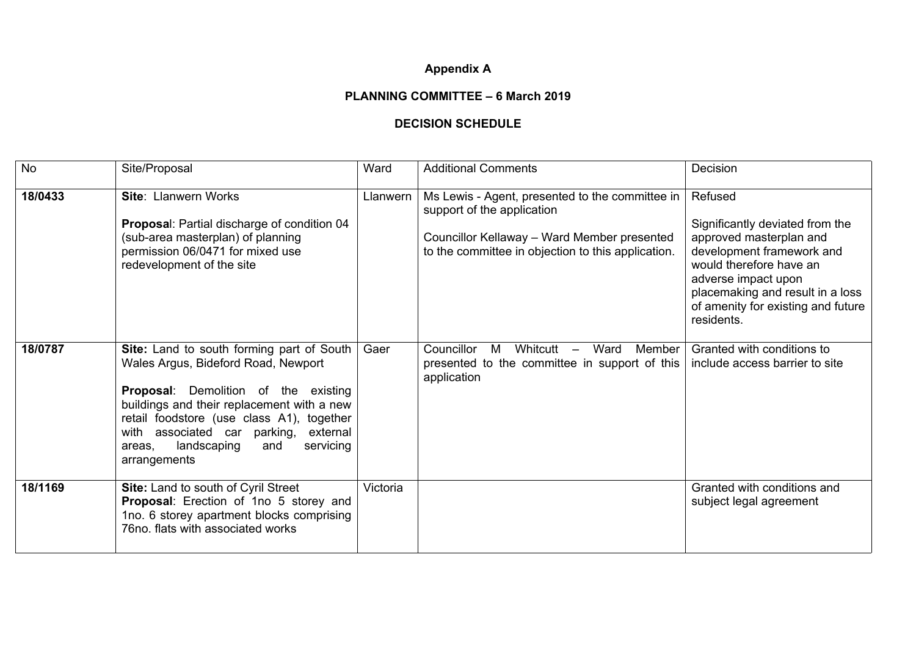## **Appendix A**

## **PLANNING COMMITTEE – 6 March 2019**

## **DECISION SCHEDULE**

| <b>No</b> | Site/Proposal                                                                                                                                                                                                                                                                                                                       | Ward     | <b>Additional Comments</b>                                                                                                                                                         | Decision                                                                                                                                                                                                                                     |
|-----------|-------------------------------------------------------------------------------------------------------------------------------------------------------------------------------------------------------------------------------------------------------------------------------------------------------------------------------------|----------|------------------------------------------------------------------------------------------------------------------------------------------------------------------------------------|----------------------------------------------------------------------------------------------------------------------------------------------------------------------------------------------------------------------------------------------|
| 18/0433   | <b>Site: Llanwern Works</b><br>Proposal: Partial discharge of condition 04<br>(sub-area masterplan) of planning<br>permission 06/0471 for mixed use<br>redevelopment of the site                                                                                                                                                    | Llanwern | Ms Lewis - Agent, presented to the committee in<br>support of the application<br>Councillor Kellaway - Ward Member presented<br>to the committee in objection to this application. | Refused<br>Significantly deviated from the<br>approved masterplan and<br>development framework and<br>would therefore have an<br>adverse impact upon<br>placemaking and result in a loss<br>of amenity for existing and future<br>residents. |
| 18/0787   | Site: Land to south forming part of South<br>Wales Argus, Bideford Road, Newport<br><b>Proposal:</b> Demolition of the existing<br>buildings and their replacement with a new<br>retail foodstore (use class A1), together<br>with associated car parking,<br>external<br>landscaping<br>servicing<br>and<br>areas.<br>arrangements | Gaer     | Councillor<br>M<br>Whitcutt $-$<br>Ward<br>Member<br>presented to the committee in support of this<br>application                                                                  | Granted with conditions to<br>include access barrier to site                                                                                                                                                                                 |
| 18/1169   | Site: Land to south of Cyril Street<br>Proposal: Erection of 1no 5 storey and<br>1no. 6 storey apartment blocks comprising<br>76no. flats with associated works                                                                                                                                                                     | Victoria |                                                                                                                                                                                    | Granted with conditions and<br>subject legal agreement                                                                                                                                                                                       |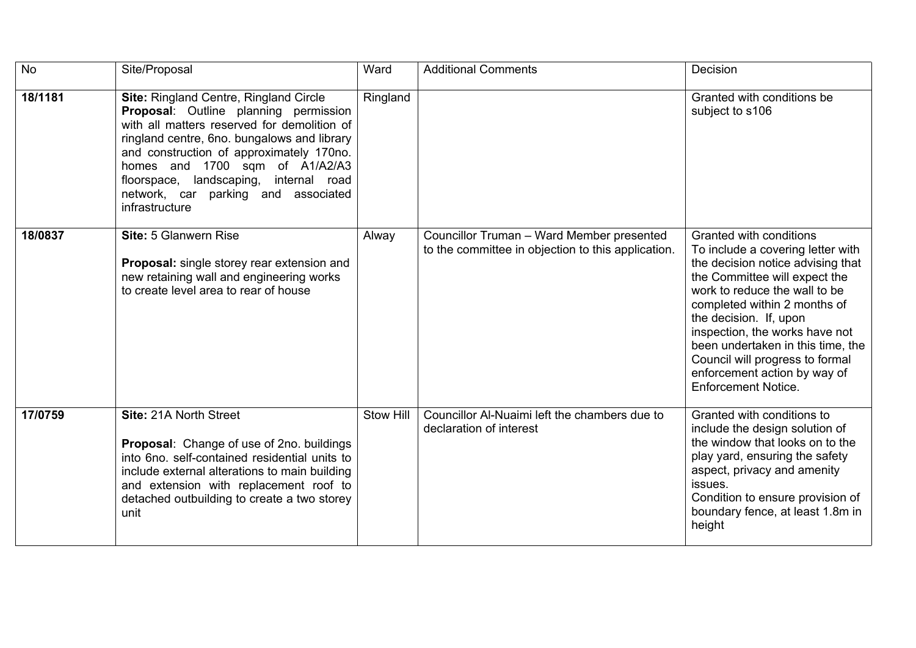| <b>No</b> | Site/Proposal                                                                                                                                                                                                                                                                                                                                                         | Ward      | <b>Additional Comments</b>                                                                      | Decision                                                                                                                                                                                                                                                                                                                                                                                              |
|-----------|-----------------------------------------------------------------------------------------------------------------------------------------------------------------------------------------------------------------------------------------------------------------------------------------------------------------------------------------------------------------------|-----------|-------------------------------------------------------------------------------------------------|-------------------------------------------------------------------------------------------------------------------------------------------------------------------------------------------------------------------------------------------------------------------------------------------------------------------------------------------------------------------------------------------------------|
| 18/1181   | <b>Site: Ringland Centre, Ringland Circle</b><br>Proposal: Outline planning permission<br>with all matters reserved for demolition of<br>ringland centre, 6no. bungalows and library<br>and construction of approximately 170no.<br>homes and 1700 sqm of A1/A2/A3<br>floorspace, landscaping, internal road<br>network, car parking and associated<br>infrastructure | Ringland  |                                                                                                 | Granted with conditions be<br>subject to s106                                                                                                                                                                                                                                                                                                                                                         |
| 18/0837   | Site: 5 Glanwern Rise<br><b>Proposal:</b> single storey rear extension and<br>new retaining wall and engineering works<br>to create level area to rear of house                                                                                                                                                                                                       | Alway     | Councillor Truman - Ward Member presented<br>to the committee in objection to this application. | Granted with conditions<br>To include a covering letter with<br>the decision notice advising that<br>the Committee will expect the<br>work to reduce the wall to be<br>completed within 2 months of<br>the decision. If, upon<br>inspection, the works have not<br>been undertaken in this time, the<br>Council will progress to formal<br>enforcement action by way of<br><b>Enforcement Notice.</b> |
| 17/0759   | Site: 21A North Street<br>Proposal: Change of use of 2no. buildings<br>into 6no. self-contained residential units to<br>include external alterations to main building<br>and extension with replacement roof to<br>detached outbuilding to create a two storey<br>unit                                                                                                | Stow Hill | Councillor Al-Nuaimi left the chambers due to<br>declaration of interest                        | Granted with conditions to<br>include the design solution of<br>the window that looks on to the<br>play yard, ensuring the safety<br>aspect, privacy and amenity<br>issues.<br>Condition to ensure provision of<br>boundary fence, at least 1.8m in<br>height                                                                                                                                         |